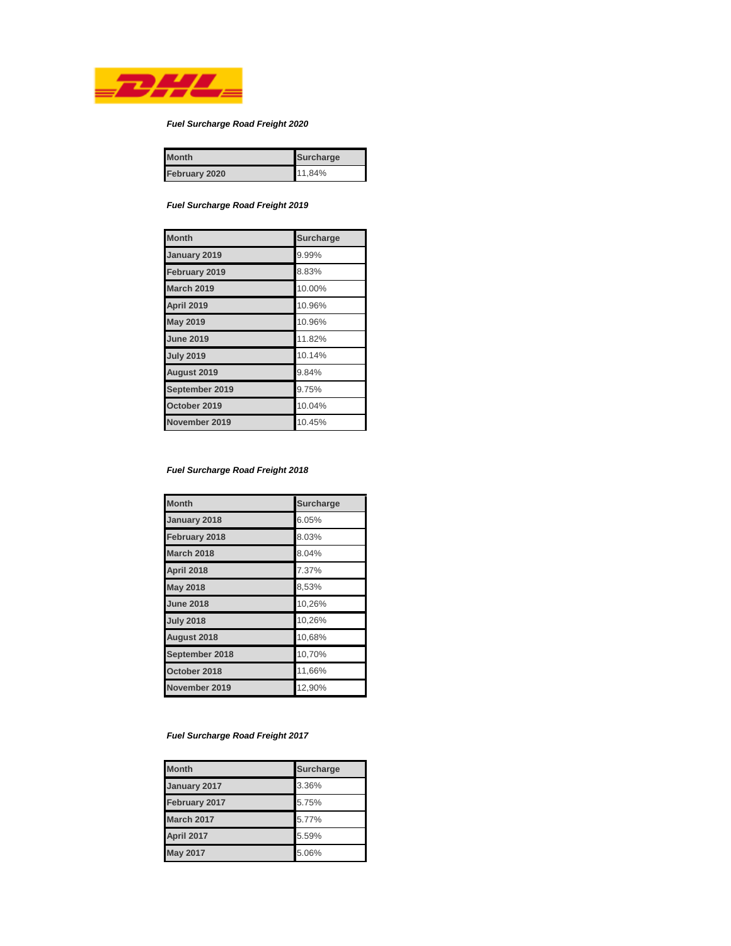

# *Fuel Surcharge Road Freight 2020*

| <b>Month</b>  | <b>Surcharge</b> |
|---------------|------------------|
| February 2020 | 11,84%           |

*Fuel Surcharge Road Freight 2019*

| <b>Month</b>      | <b>Surcharge</b> |
|-------------------|------------------|
| January 2019      | 9.99%            |
| February 2019     | 8.83%            |
| <b>March 2019</b> | 10.00%           |
| April 2019        | 10.96%           |
| <b>May 2019</b>   | 10.96%           |
| <b>June 2019</b>  | 11.82%           |
| <b>July 2019</b>  | 10.14%           |
| August 2019       | 9.84%            |
| September 2019    | 9.75%            |
| October 2019      | 10.04%           |
| November 2019     | 10.45%           |

#### *Fuel Surcharge Road Freight 2018*

| <b>Month</b>      | <b>Surcharge</b> |
|-------------------|------------------|
| January 2018      | 6.05%            |
| February 2018     | 8.03%            |
| <b>March 2018</b> | 8.04%            |
| <b>April 2018</b> | 7.37%            |
| <b>May 2018</b>   | 8,53%            |
| <b>June 2018</b>  | 10,26%           |
| <b>July 2018</b>  | 10,26%           |
| August 2018       | 10,68%           |
| September 2018    | 10,70%           |
| October 2018      | 11,66%           |
| November 2019     | 12,90%           |

# *Fuel Surcharge Road Freight 2017*

| <b>Month</b>      | <b>Surcharge</b> |
|-------------------|------------------|
| January 2017      | 3.36%            |
| February 2017     | 5.75%            |
| <b>March 2017</b> | 5.77%            |
| April 2017        | 5.59%            |
| <b>May 2017</b>   | 5.06%            |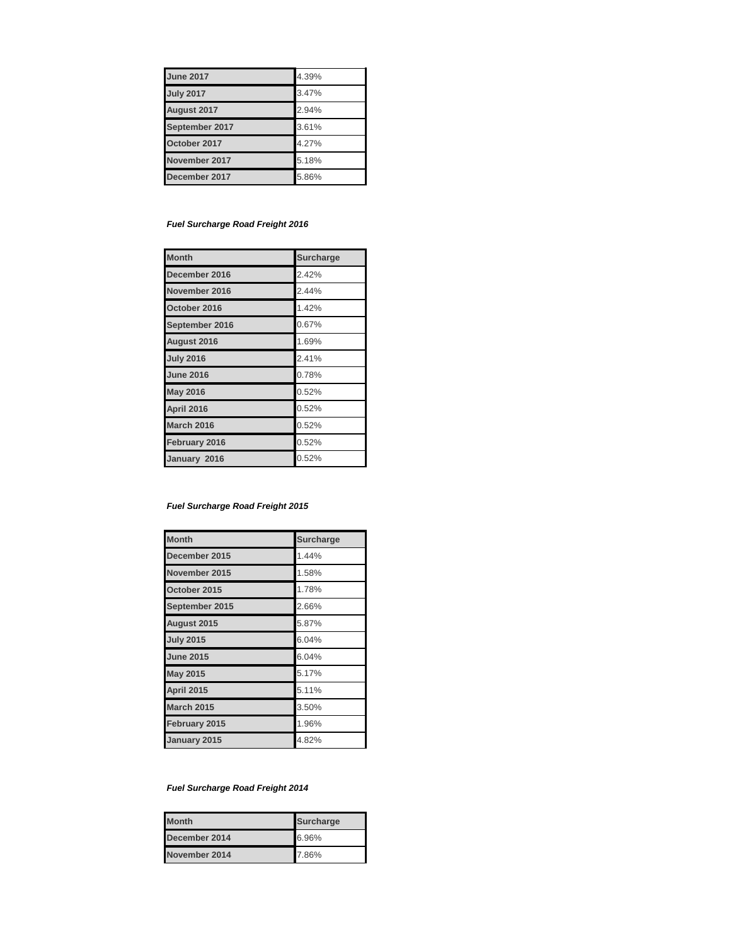| <b>June 2017</b> | 4.39% |
|------------------|-------|
| <b>July 2017</b> | 3.47% |
| August 2017      | 2.94% |
| September 2017   | 3.61% |
| October 2017     | 4.27% |
| November 2017    | 5.18% |
| December 2017    | 5.86% |

# *Fuel Surcharge Road Freight 2016*

| <b>Month</b>      | <b>Surcharge</b> |
|-------------------|------------------|
| December 2016     | 2.42%            |
| November 2016     | 2.44%            |
| October 2016      | 1.42%            |
| September 2016    | 0.67%            |
| August 2016       | 1.69%            |
| <b>July 2016</b>  | 2.41%            |
| <b>June 2016</b>  | 0.78%            |
| <b>May 2016</b>   | 0.52%            |
| April 2016        | 0.52%            |
| <b>March 2016</b> | 0.52%            |
| February 2016     | 0.52%            |
| January 2016      | 0.52%            |

# *Fuel Surcharge Road Freight 2015*

| <b>Month</b>      | <b>Surcharge</b> |
|-------------------|------------------|
| December 2015     | 1.44%            |
| November 2015     | 1.58%            |
| October 2015      | 1.78%            |
| September 2015    | 2.66%            |
| August 2015       | 5.87%            |
| <b>July 2015</b>  | 6.04%            |
| <b>June 2015</b>  | 6.04%            |
| <b>May 2015</b>   | 5.17%            |
| <b>April 2015</b> | 5.11%            |
| <b>March 2015</b> | 3.50%            |
| February 2015     | 1.96%            |
| January 2015      | 4.82%            |

# *Fuel Surcharge Road Freight 2014*

| <b>Month</b>  | <b>Surcharge</b> |
|---------------|------------------|
| December 2014 | 6.96%            |
| November 2014 | 7.86%            |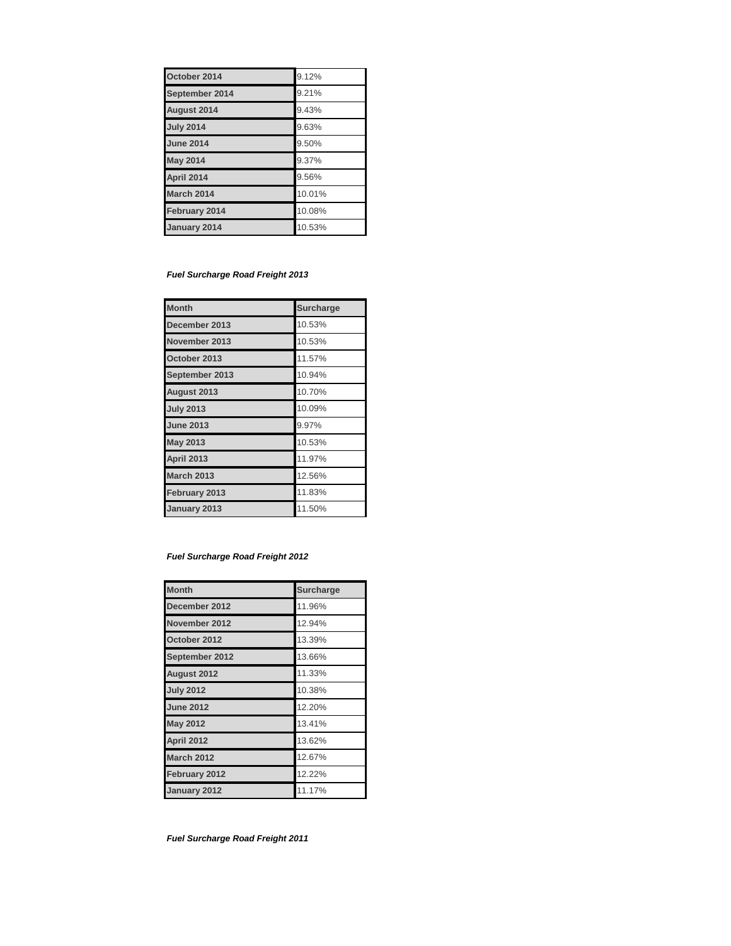| October 2014       | 9.12%  |
|--------------------|--------|
| September 2014     | 9.21%  |
| <b>August 2014</b> | 9.43%  |
| <b>July 2014</b>   | 9.63%  |
| <b>June 2014</b>   | 9.50%  |
| <b>May 2014</b>    | 9.37%  |
| April 2014         | 9.56%  |
| <b>March 2014</b>  | 10.01% |
| February 2014      | 10.08% |
| January 2014       | 10.53% |

#### *Fuel Surcharge Road Freight 2013*

| <b>Month</b>      | <b>Surcharge</b> |
|-------------------|------------------|
| December 2013     | 10.53%           |
| November 2013     | 10.53%           |
| October 2013      | 11.57%           |
| September 2013    | 10.94%           |
| August 2013       | 10.70%           |
| <b>July 2013</b>  | 10.09%           |
| <b>June 2013</b>  | 9.97%            |
| <b>May 2013</b>   | 10.53%           |
| <b>April 2013</b> | 11.97%           |
| <b>March 2013</b> | 12.56%           |
| February 2013     | 11.83%           |
| January 2013      | 11.50%           |

# *Fuel Surcharge Road Freight 2012*

| <b>Month</b>      | <b>Surcharge</b> |
|-------------------|------------------|
| December 2012     | 11.96%           |
| November 2012     | 12.94%           |
| October 2012      | 13.39%           |
| September 2012    | 13.66%           |
| August 2012       | 11.33%           |
| <b>July 2012</b>  | 10.38%           |
| <b>June 2012</b>  | 12.20%           |
| <b>May 2012</b>   | 13.41%           |
| <b>April 2012</b> | 13.62%           |
| <b>March 2012</b> | 12.67%           |
| February 2012     | 12.22%           |
| January 2012      | 11.17%           |

*Fuel Surcharge Road Freight 2011*